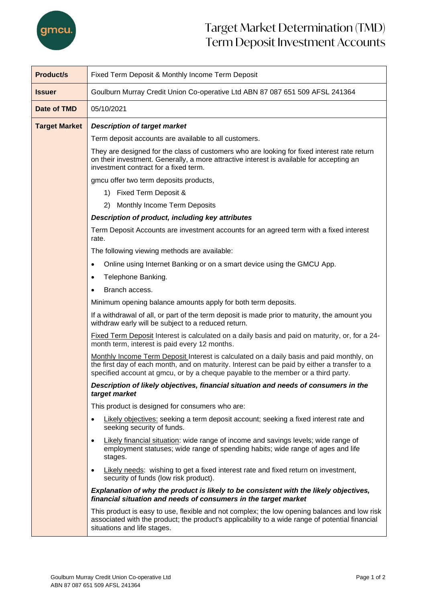

## Target Market Determination (TMD) Term Deposit Investment Accounts

| <b>Product/s</b>     | Fixed Term Deposit & Monthly Income Term Deposit                                                                                                                                                                                                                              |  |  |  |
|----------------------|-------------------------------------------------------------------------------------------------------------------------------------------------------------------------------------------------------------------------------------------------------------------------------|--|--|--|
| <b>Issuer</b>        | Goulburn Murray Credit Union Co-operative Ltd ABN 87 087 651 509 AFSL 241364                                                                                                                                                                                                  |  |  |  |
| Date of TMD          | 05/10/2021                                                                                                                                                                                                                                                                    |  |  |  |
| <b>Target Market</b> | <b>Description of target market</b>                                                                                                                                                                                                                                           |  |  |  |
|                      | Term deposit accounts are available to all customers.                                                                                                                                                                                                                         |  |  |  |
|                      | They are designed for the class of customers who are looking for fixed interest rate return<br>on their investment. Generally, a more attractive interest is available for accepting an<br>investment contract for a fixed term.                                              |  |  |  |
|                      | gmcu offer two term deposits products,                                                                                                                                                                                                                                        |  |  |  |
|                      | 1) Fixed Term Deposit &                                                                                                                                                                                                                                                       |  |  |  |
|                      | 2) Monthly Income Term Deposits                                                                                                                                                                                                                                               |  |  |  |
|                      | Description of product, including key attributes                                                                                                                                                                                                                              |  |  |  |
|                      | Term Deposit Accounts are investment accounts for an agreed term with a fixed interest<br>rate.                                                                                                                                                                               |  |  |  |
|                      | The following viewing methods are available:                                                                                                                                                                                                                                  |  |  |  |
|                      | Online using Internet Banking or on a smart device using the GMCU App.<br>$\bullet$                                                                                                                                                                                           |  |  |  |
|                      | Telephone Banking.<br>$\bullet$                                                                                                                                                                                                                                               |  |  |  |
|                      | Branch access.<br>$\bullet$                                                                                                                                                                                                                                                   |  |  |  |
|                      | Minimum opening balance amounts apply for both term deposits.                                                                                                                                                                                                                 |  |  |  |
|                      | If a withdrawal of all, or part of the term deposit is made prior to maturity, the amount you<br>withdraw early will be subject to a reduced return.                                                                                                                          |  |  |  |
|                      | Fixed Term Deposit Interest is calculated on a daily basis and paid on maturity, or, for a 24-<br>month term, interest is paid every 12 months.                                                                                                                               |  |  |  |
|                      | Monthly Income Term Deposit Interest is calculated on a daily basis and paid monthly, on<br>the first day of each month, and on maturity. Interest can be paid by either a transfer to a<br>specified account at gmcu, or by a cheque payable to the member or a third party. |  |  |  |
|                      | Description of likely objectives, financial situation and needs of consumers in the<br>target market                                                                                                                                                                          |  |  |  |
|                      | This product is designed for consumers who are:                                                                                                                                                                                                                               |  |  |  |
|                      | Likely objectives: seeking a term deposit account; seeking a fixed interest rate and<br>$\bullet$<br>seeking security of funds.                                                                                                                                               |  |  |  |
|                      | Likely financial situation: wide range of income and savings levels; wide range of<br>$\bullet$<br>employment statuses; wide range of spending habits; wide range of ages and life<br>stages.                                                                                 |  |  |  |
|                      | Likely needs: wishing to get a fixed interest rate and fixed return on investment,<br>$\bullet$<br>security of funds (low risk product).                                                                                                                                      |  |  |  |
|                      | Explanation of why the product is likely to be consistent with the likely objectives,<br>financial situation and needs of consumers in the target market                                                                                                                      |  |  |  |
|                      | This product is easy to use, flexible and not complex; the low opening balances and low risk<br>associated with the product; the product's applicability to a wide range of potential financial<br>situations and life stages.                                                |  |  |  |